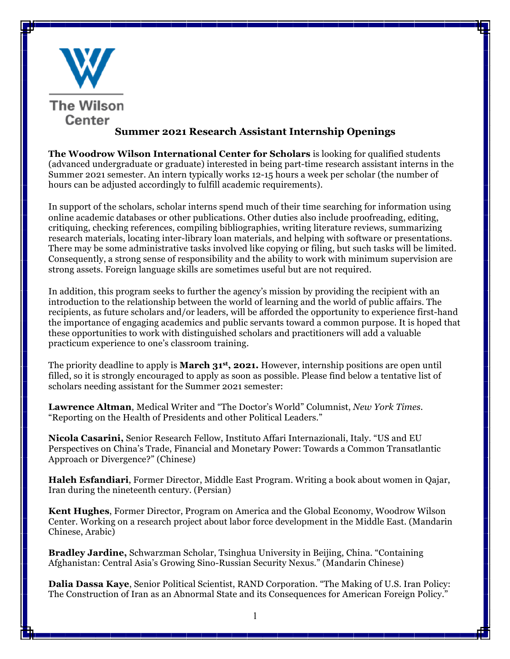

**The Woodrow Wilson International Center for Scholars** is looking for qualified students (advanced undergraduate or graduate) interested in being part-time research assistant interns in the Summer 2021 semester. An intern typically works 12-15 hours a week per scholar (the number of hours can be adjusted accordingly to fulfill academic requirements).

In support of the scholars, scholar interns spend much of their time searching for information using online academic databases or other publications. Other duties also include proofreading, editing, critiquing, checking references, compiling bibliographies, writing literature reviews, summarizing research materials, locating inter-library loan materials, and helping with software or presentations. There may be some administrative tasks involved like copying or filing, but such tasks will be limited. Consequently, a strong sense of responsibility and the ability to work with minimum supervision are strong assets. Foreign language skills are sometimes useful but are not required.

In addition, this program seeks to further the agency's mission by providing the recipient with an introduction to the relationship between the world of learning and the world of public affairs. The recipients, as future scholars and/or leaders, will be afforded the opportunity to experience first-hand the importance of engaging academics and public servants toward a common purpose. It is hoped that these opportunities to work with distinguished scholars and practitioners will add a valuable practicum experience to one's classroom training.

The priority deadline to apply is **March 31st, 2021.** However, internship positions are open until filled, so it is strongly encouraged to apply as soon as possible. Please find below a tentative list of scholars needing assistant for the Summer 2021 semester:

**Lawrence Altman**, Medical Writer and "The Doctor's World" Columnist, *New York Times.*  "Reporting on the Health of Presidents and other Political Leaders."

**Nicola Casarini,** Senior Research Fellow, Instituto Affari Internazionali, Italy. "US and EU Perspectives on China's Trade, Financial and Monetary Power: Towards a Common Transatlantic Approach or Divergence?" (Chinese)

**Haleh Esfandiari**, Former Director, Middle East Program. Writing a book about women in Qajar, Iran during the nineteenth century. (Persian)

**Kent Hughes**, Former Director, Program on America and the Global Economy, Woodrow Wilson Center. Working on a research project about labor force development in the Middle East. (Mandarin Chinese, Arabic)

**Bradley Jardine,** Schwarzman Scholar, Tsinghua University in Beijing, China. "Containing Afghanistan: Central Asia's Growing Sino-Russian Security Nexus." (Mandarin Chinese)

**Dalia Dassa Kaye**, Senior Political Scientist, RAND Corporation. "The Making of U.S. Iran Policy: The Construction of Iran as an Abnormal State and its Consequences for American Foreign Policy."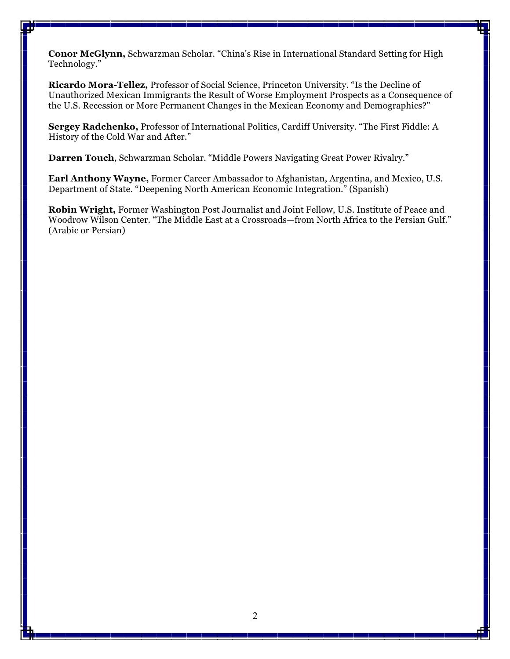**Conor McGlynn,** Schwarzman Scholar. "China's Rise in International Standard Setting for High Technology."

**Ricardo Mora-Tellez,** Professor of Social Science, Princeton University. "Is the Decline of Unauthorized Mexican Immigrants the Result of Worse Employment Prospects as a Consequence of the U.S. Recession or More Permanent Changes in the Mexican Economy and Demographics?"

**Sergey Radchenko,** Professor of International Politics, Cardiff University. "The First Fiddle: A History of the Cold War and After."

**Darren Touch**, Schwarzman Scholar. "Middle Powers Navigating Great Power Rivalry."

**Earl Anthony Wayne,** Former Career Ambassador to Afghanistan, Argentina, and Mexico, U.S. Department of State. "Deepening North American Economic Integration." (Spanish)

**Robin Wright,** Former Washington Post Journalist and Joint Fellow, U.S. Institute of Peace and Woodrow Wilson Center. "The Middle East at a Crossroads—from North Africa to the Persian Gulf." (Arabic or Persian)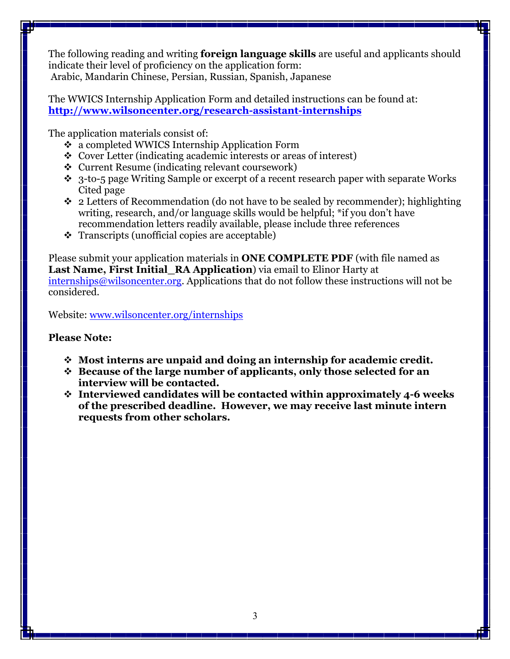The following reading and writing **foreign language skills** are useful and applicants should indicate their level of proficiency on the application form: Arabic, Mandarin Chinese, Persian, Russian, Spanish, Japanese

The WWICS Internship Application Form and detailed instructions can be found at: **http://www.wilsoncenter.org/research-assistant-internships**

The application materials consist of:

- v a completed WWICS Internship Application Form
- v Cover Letter (indicating academic interests or areas of interest)
- $\div$  Current Resume (indicating relevant coursework)
- $\cdot$  3-to-5 page Writing Sample or excerpt of a recent research paper with separate Works Cited page
- $\div$  2 Letters of Recommendation (do not have to be sealed by recommender); highlighting writing, research, and/or language skills would be helpful; \*if you don't have recommendation letters readily available, please include three references
- $\div$  Transcripts (unofficial copies are acceptable)

Please submit your application materials in **ONE COMPLETE PDF** (with file named as **Last Name, First Initial\_RA Application**) via email to Elinor Harty at internships@wilsoncenter.org. Applications that do not follow these instructions will not be considered.

Website: www.wilsoncenter.org/internships

## **Please Note:**

- v **Most interns are unpaid and doing an internship for academic credit.**
- v **Because of the large number of applicants, only those selected for an interview will be contacted.**
- v **Interviewed candidates will be contacted within approximately 4-6 weeks of the prescribed deadline. However, we may receive last minute intern requests from other scholars.**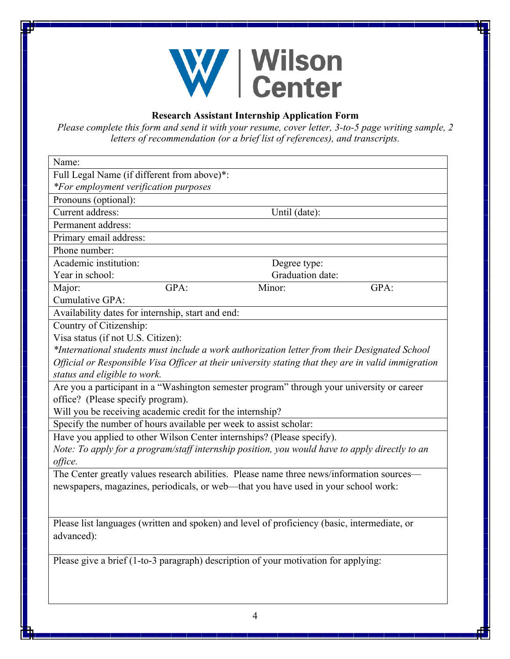

## **Research Assistant Internship Application Form**

*Please complete this form and send it with your resume, cover letter, 3-to-5 page writing sample, 2 letters of recommendation (or a brief list of references), and transcripts.*

| Name:                                                                                               |              |               |                  |  |
|-----------------------------------------------------------------------------------------------------|--------------|---------------|------------------|--|
| Full Legal Name (if different from above)*:                                                         |              |               |                  |  |
| *For employment verification purposes                                                               |              |               |                  |  |
| Pronouns (optional):                                                                                |              |               |                  |  |
| Current address:                                                                                    |              | Until (date): |                  |  |
| Permanent address:                                                                                  |              |               |                  |  |
| Primary email address:                                                                              |              |               |                  |  |
| Phone number:                                                                                       |              |               |                  |  |
| Academic institution:                                                                               | Degree type: |               |                  |  |
| Year in school:                                                                                     |              |               | Graduation date: |  |
| Major:                                                                                              | GPA:         | Minor:        | GPA:             |  |
| Cumulative GPA:                                                                                     |              |               |                  |  |
| Availability dates for internship, start and end:                                                   |              |               |                  |  |
| Country of Citizenship:                                                                             |              |               |                  |  |
| Visa status (if not U.S. Citizen):                                                                  |              |               |                  |  |
| *International students must include a work authorization letter from their Designated School       |              |               |                  |  |
| Official or Responsible Visa Officer at their university stating that they are in valid immigration |              |               |                  |  |
| status and eligible to work.                                                                        |              |               |                  |  |
| Are you a participant in a "Washington semester program" through your university or career          |              |               |                  |  |
| office? (Please specify program).                                                                   |              |               |                  |  |
| Will you be receiving academic credit for the internship?                                           |              |               |                  |  |
| Specify the number of hours available per week to assist scholar:                                   |              |               |                  |  |
| Have you applied to other Wilson Center internships? (Please specify).                              |              |               |                  |  |
| Note: To apply for a program/staff internship position, you would have to apply directly to an      |              |               |                  |  |
| office.                                                                                             |              |               |                  |  |
| The Center greatly values research abilities. Please name three news/information sources—           |              |               |                  |  |
| newspapers, magazines, periodicals, or web-that you have used in your school work:                  |              |               |                  |  |
|                                                                                                     |              |               |                  |  |
|                                                                                                     |              |               |                  |  |
| Please list languages (written and spoken) and level of proficiency (basic, intermediate, or        |              |               |                  |  |
| advanced):                                                                                          |              |               |                  |  |
|                                                                                                     |              |               |                  |  |
| Please give a brief (1-to-3 paragraph) description of your motivation for applying:                 |              |               |                  |  |
|                                                                                                     |              |               |                  |  |
|                                                                                                     |              |               |                  |  |